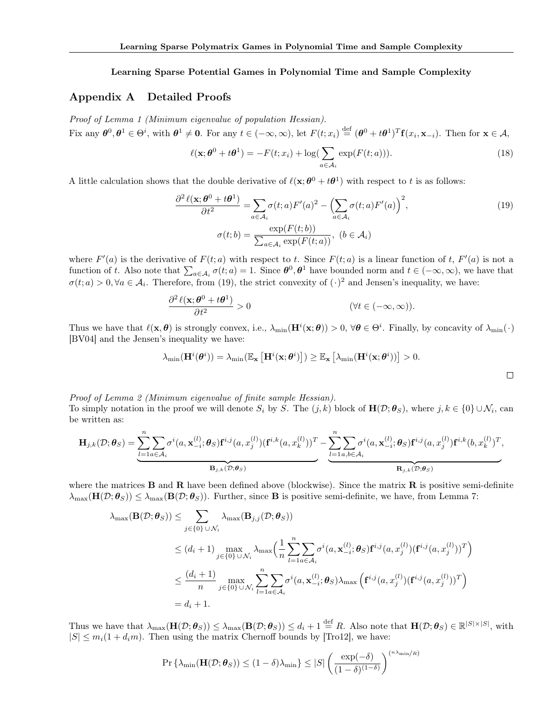## Learning Sparse Potential Games in Polynomial Time and Sample Complexity

## <span id="page-0-14"></span><span id="page-0-0"></span>Appendix A Detailed Proofs

<span id="page-0-2"></span>*Proof of Lemma [1](#page-0-0) (Minimum eigenvalue of population Hessian).* Fix any  $\theta^0, \theta^1 \in \Theta^i$ , with  $\theta^1 \neq 0$ . For any  $t \in (-\infty, \infty)$ , let  $F(t; x_i) \stackrel{\text{def}}{=} (\theta^0 + t\theta^1)^T \mathbf{f}(x_i, \mathbf{x}_{-i})$ . Then for  $\mathbf{x} \in \mathcal{A}$ ,

<span id="page-0-8"></span>
$$
\ell(\mathbf{x}; \boldsymbol{\theta}^0 + t\boldsymbol{\theta}^1) = -F(t; x_i) + \log(\sum_{a \in \mathcal{A}_i} \exp(F(t; a))).
$$
\n(18)

<span id="page-0-13"></span><span id="page-0-3"></span>A little calculation shows that the double derivative of  $\ell(\mathbf{x}; \theta^0 + t\theta^1)$  with respect to *t* is as follows:

<span id="page-0-7"></span>
$$
\frac{\partial^2 \ell(\mathbf{x}; \boldsymbol{\theta}^0 + t\boldsymbol{\theta}^1)}{\partial t^2} = \sum_{a \in \mathcal{A}_i} \sigma(t; a) F'(a)^2 - \left(\sum_{a \in \mathcal{A}_i} \sigma(t; a) F'(a)\right)^2,
$$
  

$$
\sigma(t; b) = \frac{\exp(F(t; b))}{\sum_{a \in \mathcal{A}_i} \exp(F(t; a))}, \ (b \in \mathcal{A}_i)
$$
 (19)

where  $F'(a)$  is the derivative of  $F(t; a)$  with respect to *t*. Since  $F(t; a)$  is a linear function of *t*,  $F'(a)$  is not a function of *t*. Also note that  $\sum_{a \in \mathcal{A}_i} \sigma(t; a) = 1$ . Since  $\theta^0, \theta^1$  have bounded norm and  $t \in (-\infty, \infty)$ , we have that  $\sigma(t; a) > 0, \forall a \in A_i$ . Therefore, from [\(19\)](#page-0-1), the strict convexity of  $(\cdot)^2$  and Jensen's inequality, we have:

$$
\frac{\partial^2 \ell(\mathbf{x}; \boldsymbol{\theta}^0 + t\boldsymbol{\theta}^1)}{\partial t^2} > 0
$$
 (\forall t \in (-\infty, \infty)).

Thus we have that  $\ell(\mathbf{x}, \boldsymbol{\theta})$  is strongly convex, i.e.,  $\lambda_{\min}(\mathbf{H}^i(\mathbf{x}; \boldsymbol{\theta})) > 0$ ,  $\forall \boldsymbol{\theta} \in \Theta^i$ . Finally, by concavity of  $\lambda_{\min}(\cdot)$ [\[BV04\]](#page-0-2) and the Jensen's inequality we have:

<span id="page-0-10"></span><span id="page-0-4"></span>
$$
\lambda_{\min}(\mathbf{H}^i(\boldsymbol{\theta}^i)) = \lambda_{\min}(\mathbb{E}_{\mathbf{x}}\left[\mathbf{H}^i(\mathbf{x};\boldsymbol{\theta}^i)\right]) \geq \mathbb{E}_{\mathbf{x}}\left[\lambda_{\min}(\mathbf{H}^i(\mathbf{x};\boldsymbol{\theta}^i))\right] > 0.
$$

<span id="page-0-12"></span><span id="page-0-9"></span><span id="page-0-6"></span><span id="page-0-1"></span> $\Box$ 

*Proof of Lemma [2](#page-0-3) (Minimum eigenvalue of finite sample Hessian).*

<span id="page-0-5"></span>To simply notation in the proof we will denote  $S_i$  by *S*. The  $(j, k)$  block of  $\mathbf{H}(\mathcal{D}; \theta_S)$ , where  $j, k \in \{0\} \cup \mathcal{N}_i$ , can be written as:

$$
\mathbf{H}_{j,k}(\mathcal{D};\boldsymbol{\theta}_S) = \underbrace{\sum_{l=1}^n \sum_{a \in \mathcal{A}_i} \sigma^i(a,\mathbf{x}_{-i}^{(l)};\boldsymbol{\theta}_S) \mathbf{f}^{i,j}(a,x_j^{(l)}) (\mathbf{f}^{i,k}(a,x_k^{(l)}))^T}_{\mathbf{B}_{j,k}(\mathcal{D};\boldsymbol{\theta}_S)} - \underbrace{\sum_{l=1}^n \sum_{a,b \in \mathcal{A}_i} \sigma^i(a,\mathbf{x}_{-i}^{(l)};\boldsymbol{\theta}_S) \mathbf{f}^{i,j}(a,x_j^{(l)}) \mathbf{f}^{i,k}(b,x_k^{(l)})^T}_{\mathbf{R}_{j,k}(\mathcal{D};\boldsymbol{\theta}_S)},
$$

where the matrices  $\bf{B}$  and  $\bf{R}$  have been defined above (blockwise). Since the matrix  $\bf{R}$  is positive semi-definite  $\lambda_{\max}(\mathbf{H}(\mathcal{D}; \theta_S)) \leq \lambda_{\max}(\mathbf{B}(\mathcal{D}; \theta_S))$ . Further, since **B** is positive semi-definite, we have, from Lemma [7:](#page-4-0)

$$
\lambda_{\max}(\mathbf{B}(\mathcal{D};\boldsymbol{\theta}_{S})) \leq \sum_{j \in \{0\} \cup \mathcal{N}_{i}} \lambda_{\max}(\mathbf{B}_{j,j}(\mathcal{D};\boldsymbol{\theta}_{S}))
$$
\n
$$
\leq (d_{i} + 1) \max_{j \in \{0\} \cup \mathcal{N}_{i}} \lambda_{\max} \Big( \frac{1}{n} \sum_{l=1}^{n} \sum_{a \in \mathcal{A}_{i}} \sigma^{i}(a, \mathbf{x}_{-i}^{(l)}; \boldsymbol{\theta}_{S}) \mathbf{f}^{i,j}(a, x_{j}^{(l)}) (\mathbf{f}^{i,j}(a, x_{j}^{(l)}))^{T} \Big)
$$
\n
$$
\leq \frac{(d_{i} + 1)}{n} \max_{j \in \{0\} \cup \mathcal{N}_{i}} \sum_{l=1}^{n} \sum_{a \in \mathcal{A}_{i}} \sigma^{i}(a, \mathbf{x}_{-i}^{(l)}; \boldsymbol{\theta}_{S}) \lambda_{\max} (\mathbf{f}^{i,j}(a, x_{j}^{(l)}) (\mathbf{f}^{i,j}(a, x_{j}^{(l)}))^{T})
$$
\n
$$
= d_{i} + 1.
$$

Thus we have that  $\lambda_{\max}(\mathbf{H}(\mathcal{D}; \boldsymbol{\theta}_{S})) \leq \lambda_{\max}(\mathbf{B}(\mathcal{D}; \boldsymbol{\theta}_{S})) \leq d_i + 1 \stackrel{\text{def}}{=} R$ . Also note that  $\mathbf{H}(\mathcal{D}; \boldsymbol{\theta}_{S}) \in \mathbb{R}^{|S| \times |S|}$ , with  $|S| \leq m_i(1 + d_i m)$ . Then using the matrix Chernoff bounds by [\[Tro12\]](#page-0-4), we have:

<span id="page-0-11"></span>
$$
\Pr\left\{\lambda_{\min}(\mathbf{H}(\mathcal{D};\boldsymbol{\theta}_S)) \le (1-\delta)\lambda_{\min}\right\} \le |S| \left(\frac{\exp(-\delta)}{(1-\delta)^{(1-\delta)}}\right)^{(n\lambda_{\min}/R)}
$$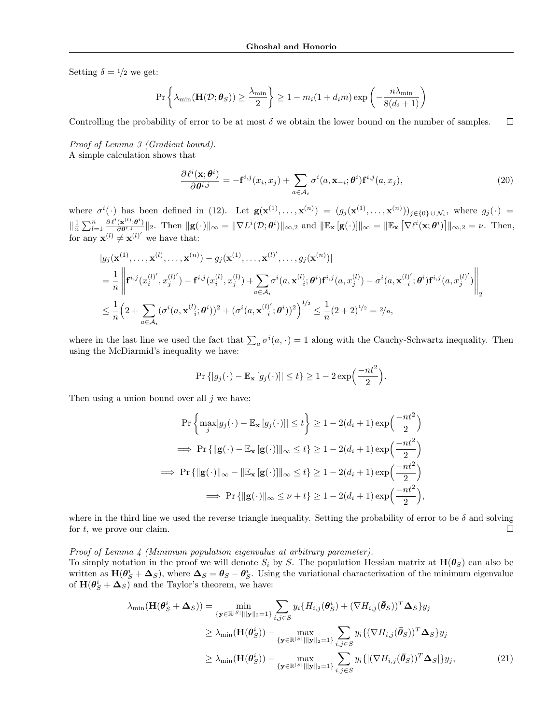Setting  $\delta = 1/2$  we get:

$$
\Pr\left\{\lambda_{\min}(\mathbf{H}(\mathcal{D};\boldsymbol{\theta}_S)) \ge \frac{\lambda_{\min}}{2}\right\} \ge 1 - m_i(1 + d_i m) \exp\left(-\frac{n\lambda_{\min}}{8(d_i+1)}\right)
$$

 $\Box$ Controlling the probability of error to be at most  $\delta$  we obtain the lower bound on the number of samples.

### *Proof of Lemma [3](#page-0-5) (Gradient bound).*

A simple calculation shows that

$$
\frac{\partial \ell^i(\mathbf{x}; \boldsymbol{\theta}^i)}{\partial \boldsymbol{\theta}^{i,j}} = -\mathbf{f}^{i,j}(x_i, x_j) + \sum_{a \in \mathcal{A}_i} \sigma^i(a, \mathbf{x}_{-i}; \boldsymbol{\theta}^i) \mathbf{f}^{i,j}(a, x_j),\tag{20}
$$

where  $\sigma^{i}(\cdot)$  has been defined in [\(12\)](#page-0-6). Let  $\mathbf{g}(\mathbf{x}^{(1)},\ldots,\mathbf{x}^{(n)}) = (g_j(\mathbf{x}^{(1)},\ldots,\mathbf{x}^{(n)}))_{j\in\{0\}\cup\mathcal{N}_i}$ , where  $g_j(\cdot)$  $\|\frac{1}{n}\sum_{l=1}^n \frac{\partial \ell^i(\mathbf{x}^{(l)};\boldsymbol{\theta}^i)}{\partial \theta^{i,j}}\|_2$ . Then  $\|\mathbf{g}(\cdot)\|_{\infty} = \|\nabla L^i(\mathcal{D};\boldsymbol{\theta}^i)\|_{\infty,2}$  and  $\|\mathbb{E}_{\mathbf{x}}[\mathbf{g}(\cdot)]\|_{\infty} = \|\mathbb{E}_{\mathbf{x}}[\nabla \ell^i(\mathbf{x};\boldsymbol{\theta}^i)]\|_{\infty,2} = \nu$ . Then, for any  $\mathbf{x}^{(l)} \neq \mathbf{x}^{(l)}'$  we have that:

$$
|g_j(\mathbf{x}^{(1)},\ldots,\mathbf{x}^{(l)},\ldots,\mathbf{x}^{(n)}) - g_j(\mathbf{x}^{(1)},\ldots,\mathbf{x}^{(l)'},\ldots,g_j(\mathbf{x}^{(n)})|
$$
  
\n
$$
= \frac{1}{n} \left\| \mathbf{f}^{i,j}(x_i^{(l)'}, x_j^{(l)'}) - \mathbf{f}^{i,j}(x_i^{(l)}, x_j^{(l)}) + \sum_{a \in A_i} \sigma^i(a, \mathbf{x}_{-i}^{(l)}; \boldsymbol{\theta}^i) \mathbf{f}^{i,j}(a, x_j^{(l)}) - \sigma^i(a, \mathbf{x}_{-i}^{(l)'}; \boldsymbol{\theta}^i) \mathbf{f}^{i,j}(a, x_j^{(l)'}) \right\|_2
$$
  
\n
$$
\leq \frac{1}{n} \left( 2 + \sum_{a \in A_i} (\sigma^i(a, \mathbf{x}_{-i}^{(l)}; \boldsymbol{\theta}^i))^2 + (\sigma^i(a, \mathbf{x}_{-i}^{(l)'}; \boldsymbol{\theta}^i))^2 \right)^{1/2} \leq \frac{1}{n} (2 + 2)^{1/2} = 2/n,
$$

where in the last line we used the fact that  $\sum_a \sigma^i(a, \cdot) = 1$  along with the Cauchy-Schwartz inequality. Then using the McDiarmid's inequality we have:

$$
\Pr\left\{|g_j(\cdot) - \mathbb{E}_{\mathbf{x}}[g_j(\cdot)]| \le t\right\} \ge 1 - 2\exp\left(\frac{-nt^2}{2}\right).
$$

Then using a union bound over all *j* we have:

$$
\Pr\left\{\max_{j} |g_{j}(\cdot) - \mathbb{E}_{\mathbf{x}}[g_{j}(\cdot)]| \leq t\right\} \geq 1 - 2(d_{i} + 1)\exp\left(\frac{-nt^{2}}{2}\right)
$$
  
\n
$$
\implies \Pr\left\{\|\mathbf{g}(\cdot) - \mathbb{E}_{\mathbf{x}}[\mathbf{g}(\cdot)]\|_{\infty} \leq t\right\} \geq 1 - 2(d_{i} + 1)\exp\left(\frac{-nt^{2}}{2}\right)
$$
  
\n
$$
\implies \Pr\left\{\|\mathbf{g}(\cdot)\|_{\infty} - \|\mathbb{E}_{\mathbf{x}}[\mathbf{g}(\cdot)]\|_{\infty} \leq t\right\} \geq 1 - 2(d_{i} + 1)\exp\left(\frac{-nt^{2}}{2}\right)
$$
  
\n
$$
\implies \Pr\left\{\|\mathbf{g}(\cdot)\|_{\infty} \leq \nu + t\right\} \geq 1 - 2(d_{i} + 1)\exp\left(\frac{-nt^{2}}{2}\right),
$$

where in the third line we used the reverse triangle inequality. Setting the probability of error to be  $\delta$  and solving for *t*, we prove our claim.  $\Box$ 

*Proof of Lemma [4](#page-0-7) (Minimum population eigenvalue at arbitrary parameter).*

To simply notation in the proof we will denote  $S_i$  by *S*. The population Hessian matrix at  $H(\theta_S)$  can also be written as  $\mathbf{H}(\theta_S^i + \Delta_S)$ , where  $\Delta_S = \theta_S - \theta_S^i$ . Using the variational characterization of the minimum eigenvalue of  $\mathbf{H}(\boldsymbol{\theta}_S^i + \boldsymbol{\Delta}_S)$  and the Taylor's theorem, we have:

<span id="page-1-0"></span>
$$
\lambda_{\min}(\mathbf{H}(\boldsymbol{\theta}_{S}^{i} + \boldsymbol{\Delta}_{S})) = \min_{\{\mathbf{y} \in \mathbb{R}^{|S|}||\mathbf{y}||_{2} = 1\}} \sum_{i,j \in S} y_{i} \{H_{i,j}(\boldsymbol{\theta}_{S}^{i}) + (\nabla H_{i,j}(\bar{\boldsymbol{\theta}}_{S}))^{T} \boldsymbol{\Delta}_{S} \} y_{j}
$$
\n
$$
\geq \lambda_{\min}(\mathbf{H}(\boldsymbol{\theta}_{S}^{i})) - \max_{\{\mathbf{y} \in \mathbb{R}^{|S|}||\mathbf{y}||_{2} = 1\}} \sum_{i,j \in S} y_{i} \{(\nabla H_{i,j}(\bar{\boldsymbol{\theta}}_{S}))^{T} \boldsymbol{\Delta}_{S} \} y_{j}
$$
\n
$$
\geq \lambda_{\min}(\mathbf{H}(\boldsymbol{\theta}_{S}^{i})) - \max_{\{\mathbf{y} \in \mathbb{R}^{|S|}||\mathbf{y}||_{2} = 1\}} \sum_{i,j \in S} y_{i} \{|(\nabla H_{i,j}(\bar{\boldsymbol{\theta}}_{S}))^{T} \boldsymbol{\Delta}_{S}|\} y_{j}, \tag{21}
$$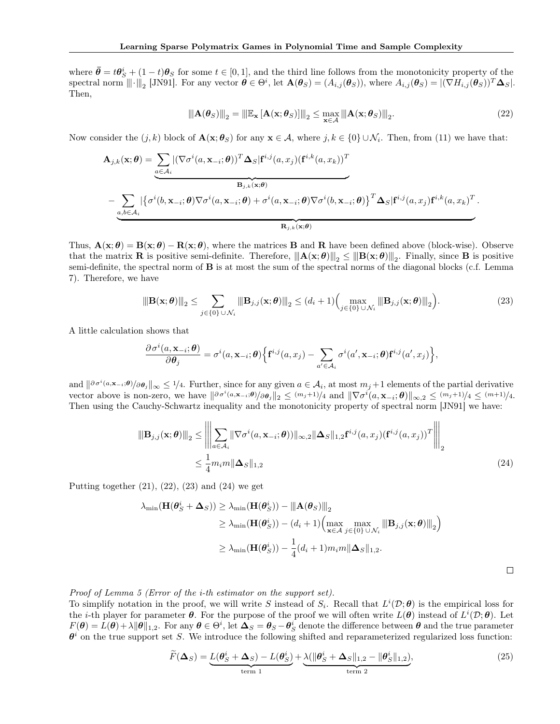where  $\bar{\theta} = t\theta_S^i + (1-t)\theta_S$  for some  $t \in [0,1]$ , and the third line follows from the monotonicity property of the spectral norm  $\|\|\cdot\|_2$  [\[JN91\]](#page-0-8). For any vector  $\boldsymbol{\theta} \in \Theta^i$ , let  $\mathbf{A}(\boldsymbol{\theta}_S) = (A_{i,j}(\boldsymbol{\theta}_S))$ , where  $A_{i,j}(\boldsymbol{\theta}_S) = |(\nabla H_{i,j}(\boldsymbol{\theta}_S))^T \boldsymbol{\Delta}_S|$ . Then,

<span id="page-2-0"></span>
$$
\|\mathbf{A}(\boldsymbol{\theta}_S)\|_2 = \|\mathbb{E}_{\mathbf{x}}\left[\mathbf{A}(\mathbf{x};\boldsymbol{\theta}_S)\right]\|_2 \le \max_{\mathbf{x}\in\mathcal{A}} \|\mathbf{A}(\mathbf{x};\boldsymbol{\theta}_S)\|_2.
$$
 (22)

Now consider the  $(j, k)$  block of  $\mathbf{A}(\mathbf{x}; \theta_S)$  for any  $\mathbf{x} \in \mathcal{A}$ , where  $j, k \in \{0\} \cup \mathcal{N}_i$ . Then, from [\(11\)](#page-0-9) we have that:

$$
\mathbf{A}_{j,k}(\mathbf{x};\boldsymbol{\theta}) = \underbrace{\sum_{a \in \mathcal{A}_i} |(\nabla \sigma^i(a, \mathbf{x}_{-i};\boldsymbol{\theta}))^T \mathbf{\Delta}_S | \mathbf{f}^{i,j}(a, x_j) (\mathbf{f}^{i,k}(a, x_k))^T}_{\mathbf{B}_{j,k}(\mathbf{x};\boldsymbol{\theta})} - \underbrace{\sum_{a,b \in \mathcal{A}_i} |\{\sigma^i(b, \mathbf{x}_{-i};\boldsymbol{\theta}) \nabla \sigma^i(a, \mathbf{x}_{-i};\boldsymbol{\theta}) + \sigma^i(a, \mathbf{x}_{-i};\boldsymbol{\theta}) \nabla \sigma^i(b, \mathbf{x}_{-i};\boldsymbol{\theta})\}^T \mathbf{\Delta}_S | \mathbf{f}^{i,j}(a, x_j) \mathbf{f}^{i,k}(a, x_k)^T. \mathbf{R}_{j,k}(\mathbf{x};\boldsymbol{\theta})}
$$

Thus,  $\mathbf{A}(\mathbf{x}; \theta) = \mathbf{B}(\mathbf{x}; \theta) - \mathbf{R}(\mathbf{x}; \theta)$ , where the matrices **B** and **R** have been defined above (block-wise). Observe that the matrix **R** is positive semi-definite. Therefore,  $\|\mathbf{A}(\mathbf{x}; \theta)\|_{2} \leq \|\mathbf{B}(\mathbf{x}; \theta)\|_{2}$ . Finally, since **B** is positive semi-definite, the spectral norm of B is at most the sum of the spectral norms of the diagonal blocks (c.f. Lemma [7\)](#page-4-0). Therefore, we have

$$
\|\mathbf{B}(\mathbf{x};\boldsymbol{\theta})\|_{2} \leq \sum_{j\in\{0\}\cup\mathcal{N}_{i}}\|\mathbf{B}_{j,j}(\mathbf{x};\boldsymbol{\theta})\|_{2} \leq (d_{i}+1)\Big(\max_{j\in\{0\}\cup\mathcal{N}_{i}}\|\mathbf{B}_{j,j}(\mathbf{x};\boldsymbol{\theta})\|_{2}\Big).
$$
 (23)

A little calculation shows that

<span id="page-2-1"></span>
$$
\frac{\partial \sigma^i(a,\mathbf{x}_{-i};\boldsymbol{\theta})}{\partial \boldsymbol{\theta}_j} = \sigma^i(a,\mathbf{x}_{-i};\boldsymbol{\theta}) \Big\{ \mathbf{f}^{i,j}(a,x_j) - \sum_{a' \in \mathcal{A}_i} \sigma^i(a',\mathbf{x}_{-i};\boldsymbol{\theta}) \mathbf{f}^{i,j}(a',x_j) \Big\},
$$

and  $\|\partial \sigma^i(a, \mathbf{x}_{-i}, \theta)/\partial \theta_j\|_{\infty} \leq 1/4$ . Further, since for any given  $a \in \mathcal{A}_i$ , at most  $m_j + 1$  elements of the partial derivative vector above is non-zero, we have  $\|\partial \sigma^i(a, \mathbf{x}_{-i}, \theta)/\partial \theta_i\|_2 \leq (m_j+1)/4$  and  $\|\nabla \sigma^i(a, \mathbf{x}_{-i}, \theta)\|_{\infty, 2} \leq (m_j+1)/4 \leq (m+1)/4$ . Then using the Cauchy-Schwartz inequality and the monotonicity property of spectral norm [\[JN91\]](#page-0-8) we have:

<span id="page-2-2"></span>
$$
\|\mathbf{B}_{j,j}(\mathbf{x};\boldsymbol{\theta})\|_{2} \leq \left\|\sum_{a\in\mathcal{A}_{i}}\|\nabla\sigma^{i}(a,\mathbf{x}_{-i};\boldsymbol{\theta}))\|_{\infty,2}\|\Delta_{S}\|_{1,2}\mathbf{f}^{i,j}(a,x_{j})(\mathbf{f}^{i,j}(a,x_{j}))^{T}\right\|_{2} \leq \frac{1}{4}m_{i}m\|\Delta_{S}\|_{1,2}
$$
\n(24)

Putting together  $(21)$ ,  $(22)$ ,  $(23)$  and  $(24)$  we get

$$
\lambda_{\min}(\mathbf{H}(\boldsymbol{\theta}_{S}^{i} + \boldsymbol{\Delta}_{S})) \geq \lambda_{\min}(\mathbf{H}(\boldsymbol{\theta}_{S}^{i})) - |||\mathbf{A}(\boldsymbol{\theta}_{S})|||_{2}
$$
  
\n
$$
\geq \lambda_{\min}(\mathbf{H}(\boldsymbol{\theta}_{S}^{i})) - (d_{i} + 1) \Big( \max_{\mathbf{x} \in \mathcal{A}} \max_{j \in \{0\} \cup \mathcal{N}_{i}} |||\mathbf{B}_{j,j}(\mathbf{x};\boldsymbol{\theta})|||_{2}\Big)
$$
  
\n
$$
\geq \lambda_{\min}(\mathbf{H}(\boldsymbol{\theta}_{S}^{i})) - \frac{1}{4}(d_{i} + 1)m_{i}m||\boldsymbol{\Delta}_{S}||_{1,2}.
$$

*Proof of Lemma [5](#page-0-10) (Error of the i-th estimator on the support set).*

To simplify notation in the proof, we will write *S* instead of  $S_i$ . Recall that  $L^i(\mathcal{D}; \theta)$  is the empirical loss for the *i*-th player for parameter  $\theta$ . For the purpose of the proof we will often write  $L(\theta)$  instead of  $L^i(\mathcal{D}; \theta)$ . Let  $F(\theta) = L(\theta) + \lambda \|\theta\|_{1,2}$ . For any  $\theta \in \Theta^i$ , let  $\Delta_S = \theta_S - \theta_S^i$  denote the difference between  $\theta$  and the true parameter  $\theta^i$  on the true support set *S*. We introduce the following shifted and reparameterized regularized loss function:

<span id="page-2-3"></span>
$$
\widetilde{F}(\Delta_S) = \underbrace{L(\theta_S^i + \Delta_S) - L(\theta_S^i)}_{\text{term 1}} + \underbrace{\lambda(\|\theta_S^i + \Delta_S\|_{1,2} - \|\theta_S^i\|_{1,2})}_{\text{term 2}},\tag{25}
$$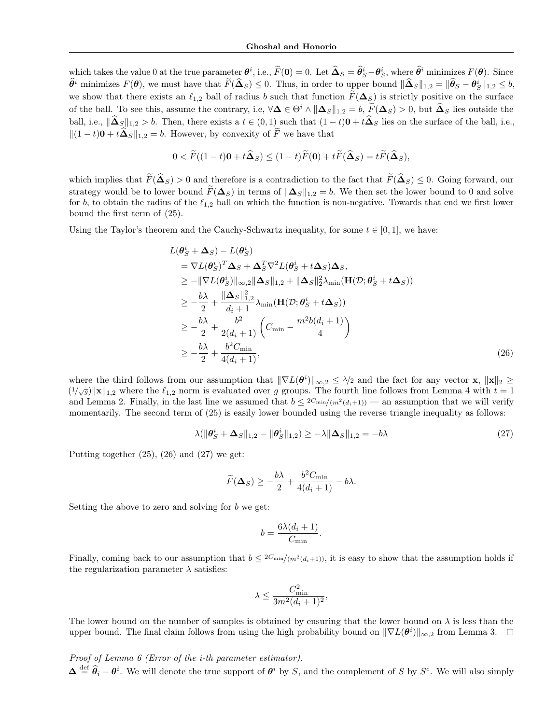which takes the value 0 at the true parameter  $\theta^i$ , i.e.,  $\tilde{F}(\mathbf{0}) = 0$ . Let  $\hat{\mathbf{\Delta}}_S = \hat{\theta}^i_S - \theta^i_S$ , where  $\hat{\theta}^i$  minimizes  $F(\theta)$ . Since  $\widehat{\theta}^i$  minimizes  $F(\theta)$ , we must have that  $F(\widehat{\Delta}_S) \leq 0$ . Thus, in order to upper bound  $\|\widehat{\Delta}_S\|_{1,2} = \|\widehat{\theta}_S - \theta_S^i\|_{1,2} \leq b$ , we show that there exists an  $\ell_{1,2}$  ball of radius *b* such that function  $\widetilde{F}(\Delta_S)$  is strictly positive on the surface of the ball. To see this, assume the contrary, i.e,  $\forall \Delta \in \Theta^i \wedge ||\Delta_S||_{1,2} = b$ ,  $F(\Delta_S) > 0$ , but  $\Delta_S$  lies outside the ball, i.e.,  $\|\hat{\mathbf{\Delta}}_S\|_{1,2} > b$ . Then, there exists a  $t \in (0,1)$  such that  $(1-t)\mathbf{0} + t\hat{\mathbf{\Delta}}_S$  lies on the surface of the ball, i.e.,  $||(1 - t)\mathbf{0} + t\hat{\mathbf{\Delta}}_S||_{1,2} = b$ . However, by convexity of  $\tilde{F}$  we have that

$$
0 < \widetilde{F}((1-t)\mathbf{0} + t\widehat{\mathbf{\Delta}}_S) \le (1-t)\widetilde{F}(\mathbf{0}) + t\widetilde{F}(\widehat{\mathbf{\Delta}}_S) = t\widetilde{F}(\widehat{\mathbf{\Delta}}_S),
$$

which implies that  $\widetilde{F}(\widehat{\Delta}_S) > 0$  and therefore is a contradiction to the fact that  $\widetilde{F}(\widehat{\Delta}_S) \leq 0$ . Going forward, our strategy would be to lower bound  $\widetilde{F}(\Delta_S)$  in terms of  $\|\Delta_S\|_{1,2} = b$ . We then set the lower bound to 0 and solve for *b*, to obtain the radius of the  $\ell_{1,2}$  ball on which the function is non-negative. Towards that end we first lower bound the first term of [\(25\)](#page-2-3).

Using the Taylor's theorem and the Cauchy-Schwartz inequality, for some  $t \in [0, 1]$ , we have:

$$
L(\theta_S^i + \Delta_S) - L(\theta_S^i)
$$
  
\n
$$
= \nabla L(\theta_S^i)^T \Delta_S + \Delta_S^T \nabla^2 L(\theta_S^i + t \Delta_S) \Delta_S,
$$
  
\n
$$
\geq -\|\nabla L(\theta_S^i)\|_{\infty,2} \|\Delta_S\|_{1,2} + \|\Delta_S\|_{2}^2 \lambda_{\min}(\mathbf{H}(\mathcal{D}; \theta_S^i + t \Delta_S))
$$
  
\n
$$
\geq -\frac{b\lambda}{2} + \frac{\|\Delta_S\|_{1,2}^2}{d_i + 1} \lambda_{\min}(\mathbf{H}(\mathcal{D}; \theta_S^i + t \Delta_S))
$$
  
\n
$$
\geq -\frac{b\lambda}{2} + \frac{b^2}{2(d_i + 1)} \left( C_{\min} - \frac{m^2 b(d_i + 1)}{4} \right)
$$
  
\n
$$
\geq -\frac{b\lambda}{2} + \frac{b^2 C_{\min}}{4(d_i + 1)},
$$
\n(26)

where the third follows from our assumption that  $\|\nabla L(\theta^i)\|_{\infty,2} \leq \lambda/2$  and the fact for any vector **x**,  $\|\mathbf{x}\|_2 \geq$  $(1/\sqrt{g})||\mathbf{x}||_{1,2}$  where the  $\ell_{1,2}$  norm is evaluated over *g* groups. The fourth line follows from Lemma [4](#page-0-7) with  $t = 1$ and Lemma [2.](#page-0-3) Finally, in the last line we assumed that  $b \leq 2C_{\min}/(m^2(d_i+1))$  — an assumption that we will verify momentarily. The second term of [\(25\)](#page-2-3) is easily lower bounded using the reverse triangle inequality as follows:

$$
\lambda(\|\boldsymbol{\theta}_{S}^{i} + \boldsymbol{\Delta}_{S}\|_{1,2} - \|\boldsymbol{\theta}_{S}^{i}\|_{1,2}) \ge -\lambda \|\boldsymbol{\Delta}_{S}\|_{1,2} = -b\lambda
$$
\n(27)

Putting together  $(25)$ ,  $(26)$  and  $(27)$  we get:

$$
\widetilde{F}(\Delta_S) \ge -\frac{b\lambda}{2} + \frac{b^2 C_{\min}}{4(d_i + 1)} - b\lambda.
$$

Setting the above to zero and solving for *b* we get:

<span id="page-3-1"></span><span id="page-3-0"></span>
$$
b = \frac{6\lambda(d_i + 1)}{C_{\min}}.
$$

Finally, coming back to our assumption that  $b \leq 2C_{\min}/(m^2(d_i+1))$ , it is easy to show that the assumption holds if the regularization parameter  $\lambda$  satisfies:

$$
\lambda \le \frac{C_{\min}^2}{3m^2(d_i+1)^2},
$$

The lower bound on the number of samples is obtained by ensuring that the lower bound on  $\lambda$  is less than the upper bound. The final claim follows from using the high probability bound on  $\|\nabla L(\theta^i)\|_{\infty,2}$  from Lemma [3.](#page-0-5)

*Proof of Lemma [6](#page-0-11) (Error of the i-th parameter estimator).*

 $\Delta \stackrel{\text{def}}{=} \hat{\theta}_i - \theta^i$ . We will denote the true support of  $\theta^i$  by *S*, and the complement of *S* by *S<sup>c</sup>*. We will also simply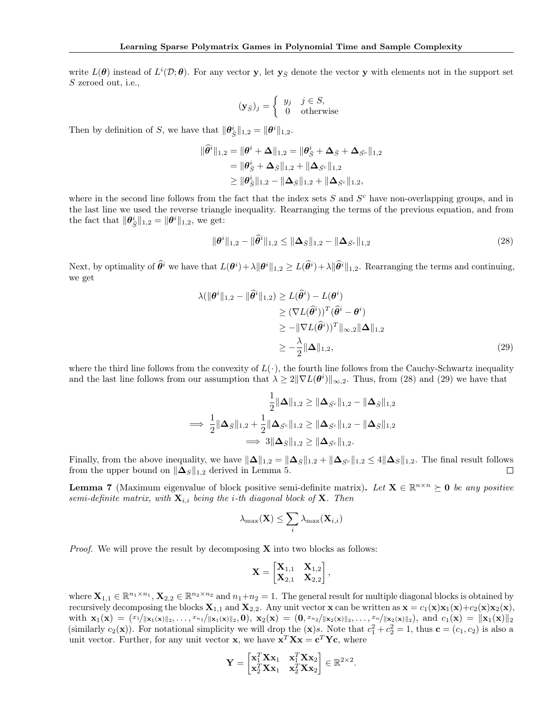write  $L(\theta)$  instead of  $L^i(\mathcal{D}; \theta)$ . For any vector y, let  $\mathbf{y}_{\bar{S}}$  denote the vector y with elements not in the support set *S* zeroed out, i.e.,

$$
(\mathbf{y}_{\bar{S}})_j = \begin{cases} y_j & j \in S, \\ 0 & \text{otherwise} \end{cases}
$$

Then by definition of *S*, we have that  $\|\boldsymbol{\theta}_{\bar{S}}^i\|_{1,2} = \|\boldsymbol{\theta}^i\|_{1,2}$ .

$$
\begin{aligned} \|\widehat{\theta}^i\|_{1,2} &= \|\theta^i + \Delta\|_{1,2} = \|\theta^i_{\bar{S}} + \Delta_{\bar{S}} + \Delta_{\bar{S}^c}\|_{1,2} \\ &= \|\theta^i_{\bar{S}} + \Delta_{\bar{S}}\|_{1,2} + \|\Delta_{\bar{S}^c}\|_{1,2} \\ &\geq \|\theta^i_{\bar{S}}\|_{1,2} - \|\Delta_{\bar{S}}\|_{1,2} + \|\Delta_{\bar{S}^c}\|_{1,2}, \end{aligned}
$$

where in the second line follows from the fact that the index sets *S* and *S<sup>c</sup>* have non-overlapping groups, and in the last line we used the reverse triangle inequality. Rearranging the terms of the previous equation, and from the fact that  $\|\theta_{\bar{S}}^i\|_{1,2} = \|\theta^i\|_{1,2}$ , we get:

<span id="page-4-2"></span><span id="page-4-1"></span>
$$
\|\theta^i\|_{1,2} - \|\widehat{\theta}^i\|_{1,2} \le \|\Delta_{\bar{S}}\|_{1,2} - \|\Delta_{\bar{S}^c}\|_{1,2}
$$
\n(28)

Next, by optimality of  $\hat{\theta}^i$  we have that  $L(\theta^i) + \lambda \|\theta^i\|_{1,2} \ge L(\hat{\theta}^i) + \lambda \|\hat{\theta}^i\|_{1,2}$ . Rearranging the terms and continuing, we get

$$
\lambda(\|\boldsymbol{\theta}^{i}\|_{1,2} - \|\widehat{\boldsymbol{\theta}}^{i}\|_{1,2}) \ge L(\widehat{\boldsymbol{\theta}}^{i}) - L(\boldsymbol{\theta}^{i})
$$
  
\n
$$
\ge (\nabla L(\widehat{\boldsymbol{\theta}}^{i}))^{T} (\widehat{\boldsymbol{\theta}}^{i} - \boldsymbol{\theta}^{i})
$$
  
\n
$$
\ge -\|\nabla L(\widehat{\boldsymbol{\theta}}^{i})\|_{\infty,2} \|\Delta\|_{1,2}
$$
  
\n
$$
\ge -\frac{\lambda}{2} \|\Delta\|_{1,2},
$$
\n(29)

where the third line follows from the convexity of  $L(\cdot)$ , the fourth line follows from the Cauchy-Schwartz inequality and the last line follows from our assumption that  $\lambda \geq 2\|\nabla L(\theta^i)\|_{\infty,2}$ . Thus, from [\(28\)](#page-4-1) and [\(29\)](#page-4-2) we have that

$$
\frac{1}{2} \|\mathbf{\Delta}\|_{1,2} \ge \|\mathbf{\Delta}_{\bar{S}^c}\|_{1,2} - \|\mathbf{\Delta}_{\bar{S}}\|_{1,2} \n\implies \frac{1}{2} \|\mathbf{\Delta}_{\bar{S}}\|_{1,2} + \frac{1}{2} \|\mathbf{\Delta}_{\bar{S}^c}\|_{1,2} \ge \|\mathbf{\Delta}_{\bar{S}^c}\|_{1,2} - \|\mathbf{\Delta}_{\bar{S}}\|_{1,2} \n\implies 3 \|\mathbf{\Delta}_{\bar{S}}\|_{1,2} \ge \|\mathbf{\Delta}_{\bar{S}^c}\|_{1,2}.
$$

Finally, from the above inequality, we have  $\|\Delta\|_{1,2} = \|\Delta_{\bar{S}}\|_{1,2} + \|\Delta_{\bar{S}^c}\|_{1,2} \le 4\|\Delta_S\|_{1,2}$ . The final result follows from the upper bound on  $\|\Delta_S\|_{1,2}$  derived in Lemma 5. from the upper bound on  $\|\mathbf{\Delta}_S\|_{1,2}$  derived in Lemma [5.](#page-0-10)

<span id="page-4-0"></span>**Lemma 7** (Maximum eigenvalue of block positive semi-definite matrix). Let  $X \in \mathbb{R}^{n \times n} \succeq 0$  be any positive *semi-definite matrix, with* X*i,i being the i-th diagonal block of* X*. Then*

$$
\lambda_{\max}(\mathbf{X}) \leq \sum_i \lambda_{\max}(\mathbf{X}_{i,i})
$$

*Proof.* We will prove the result by decomposing **X** into two blocks as follows:

$$
\mathbf{X} = \begin{bmatrix} \mathbf{X}_{1,1} & \mathbf{X}_{1,2} \\ \mathbf{X}_{2,1} & \mathbf{X}_{2,2} \end{bmatrix},
$$

where  $\mathbf{X}_{1,1} \in \mathbb{R}^{n_1 \times n_1}$ ,  $\mathbf{X}_{2,2} \in \mathbb{R}^{n_2 \times n_2}$  and  $n_1+n_2=1$ . The general result for multiple diagonal blocks is obtained by recursively decomposing the blocks  $\mathbf{X}_{1,1}$  and  $\mathbf{X}_{2,2}$ . Any unit vector x can be written as  $\mathbf{x} = c_1(\mathbf{x})\mathbf{x}_1(\mathbf{x})+c_2(\mathbf{x})\mathbf{x}_2(\mathbf{x}),$ with  $\mathbf{x}_1(\mathbf{x})=(x_1/\|\mathbf{x}_1(\mathbf{x})\|_2,\ldots,x_{n_1}/\|\mathbf{x}_1(\mathbf{x})\|_2,\mathbf{0}), \mathbf{x}_2(\mathbf{x})=(0,x_{n_2}/\|\mathbf{x}_2(\mathbf{x})\|_2,\ldots,x_n/\|\mathbf{x}_2(\mathbf{x})\|_2), \text{ and } c_1(\mathbf{x})=\|\mathbf{x}_1(\mathbf{x})\|_2$ (similarly  $c_2(\mathbf{x})$ ). For notational simplicity we will drop the  $(\mathbf{x})s$ . Note that  $c_1^2 + c_2^2 = 1$ , thus  $\mathbf{c} = (c_1, c_2)$  is also a unit vector. Further, for any unit vector **x**, we have  $\mathbf{x}^T \mathbf{X} \mathbf{x} = \mathbf{c}^T \mathbf{Y} \mathbf{c}$ , where

$$
\mathbf{Y} = \begin{bmatrix} \mathbf{x}_1^T \mathbf{X} \mathbf{x}_1 & \mathbf{x}_1^T \mathbf{X} \mathbf{x}_2 \\ \mathbf{x}_2^T \mathbf{X} \mathbf{x}_1 & \mathbf{x}_2^T \mathbf{X} \mathbf{x}_2 \end{bmatrix} \in \mathbb{R}^{2 \times 2}.
$$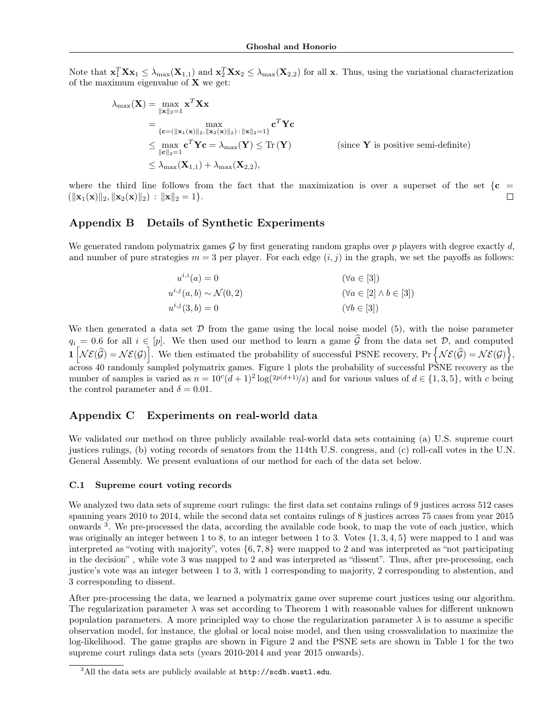Note that  $\mathbf{x}_1^T \mathbf{X} \mathbf{x}_1 \leq \lambda_{\max}(\mathbf{X}_{1,1})$  and  $\mathbf{x}_2^T \mathbf{X} \mathbf{x}_2 \leq \lambda_{\max}(\mathbf{X}_{2,2})$  for all x. Thus, using the variational characterization of the maximum eigenvalue of  $X$  we get:

$$
\lambda_{\max}(\mathbf{X}) = \max_{\|\mathbf{x}\|_2=1} \mathbf{x}^T \mathbf{X} \mathbf{x}
$$
\n
$$
= \max_{\{\mathbf{c} = (\|\mathbf{x}_1(\mathbf{x})\|_2, \|\mathbf{x}_2(\mathbf{x})\|_2) : \|\mathbf{x}\|_2=1\}} \mathbf{c}^T \mathbf{Y} \mathbf{c}
$$
\n
$$
\leq \max_{\|\mathbf{c}\|_2=1} \mathbf{c}^T \mathbf{Y} \mathbf{c} = \lambda_{\max}(\mathbf{Y}) \leq \text{Tr}(\mathbf{Y}) \qquad \text{(since } \mathbf{Y} \text{ is positive semi-definite})
$$
\n
$$
\leq \lambda_{\max}(\mathbf{X}_{1,1}) + \lambda_{\max}(\mathbf{X}_{2,2}),
$$

where the third line follows from the fact that the maximization is over a superset of the set  $\{c = (\|\mathbf{x}_1(\mathbf{x})\|_2, \|\mathbf{x}_2(\mathbf{x})\|_2) : \|\mathbf{x}\|_2 = 1\}$ .  $(\|\mathbf{x}_1(\mathbf{x})\|_2, \|\mathbf{x}_2(\mathbf{x})\|_2) : \|\mathbf{x}\|_2 = 1$ .

# Appendix B Details of Synthetic Experiments

We generated random polymatrix games *G* by first generating random graphs over *p* players with degree exactly *d*, and number of pure strategies  $m = 3$  per player. For each edge  $(i, j)$  in the graph, we set the payoffs as follows:

| $u^{i,i}(a) = 0$                     | $(\forall a \in [3])$                 |
|--------------------------------------|---------------------------------------|
| $u^{i,j}(a,b) \sim \mathcal{N}(0,2)$ | $(\forall a \in [2] \land b \in [3])$ |
| $u^{i,j}(3,b) = 0$                   | $(\forall b \in [3])$                 |

We then generated a data set  $\mathcal D$  from the game using the local noise model [\(5\)](#page-0-12), with the noise parameter  $q_i = 0.6$  for all  $i \in [p]$ . We then used our method to learn a game  $\hat{G}$  from the data set *D*, and computed  $\mathbf{1} \left[ \mathcal{NE}(\widehat{\mathcal{G}}) = \mathcal{NE}(\mathcal{G}) \right]$ . We then estimated the probability of successful PSNE recovery, Pr  $\left\{ \mathcal{NE}(\widehat{\mathcal{G}}) = \mathcal{NE}(\mathcal{G}) \right\}$ , across 40 randomly sampled polymatrix games. Figure [1](#page-0-13) plots the probability of successful PSNE recovery as the number of samples is varied as  $n = 10^c(d+1)^2 \log(2^p(d+1)/\delta)$  and for various values of  $d \in \{1, 3, 5\}$ , with *c* being the control parameter and  $\delta = 0.01$ .

## Appendix C Experiments on real-world data

We validated our method on three publicly available real-world data sets containing (a) U.S. supreme court justices rulings, (b) voting records of senators from the 114th U.S. congress, and (c) roll-call votes in the U.N. General Assembly. We present evaluations of our method for each of the data set below.

#### C.1 Supreme court voting records

We analyzed two data sets of supreme court rulings: the first data set contains rulings of 9 justices across 512 cases spanning years 2010 to 2014, while the second data set contains rulings of 8 justices across 75 cases from year 2015 onwards [3](#page-5-0). We pre-processed the data, according the available code book, to map the vote of each justice, which was originally an integer between 1 to 8, to an integer between 1 to 3. Votes  $\{1, 3, 4, 5\}$  were mapped to 1 and was interpreted as "voting with majority", votes *{*6*,* 7*,* 8*}* were mapped to 2 and was interpreted as "not participating in the decision" , while vote 3 was mapped to 2 and was interpreted as "dissent". Thus, after pre-processing, each justice's vote was an integer between 1 to 3, with 1 corresponding to majority, 2 corresponding to abstention, and 3 corresponding to dissent.

After pre-processing the data, we learned a polymatrix game over supreme court justices using our algorithm. The regularization parameter  $\lambda$  was set according to Theorem [1](#page-0-14) with reasonable values for different unknown population parameters. A more principled way to chose the regularization parameter  $\lambda$  is to assume a specific observation model, for instance, the global or local noise model, and then using crossvalidation to maximize the log-likelihood. The game graphs are shown in Figure [2](#page-6-0) and the PSNE sets are shown in Table [1](#page-6-1) for the two supreme court rulings data sets (years 2010-2014 and year 2015 onwards).

<span id="page-5-0"></span> $3$ All the data sets are publicly available at  $http://scdb.wust1.edu.$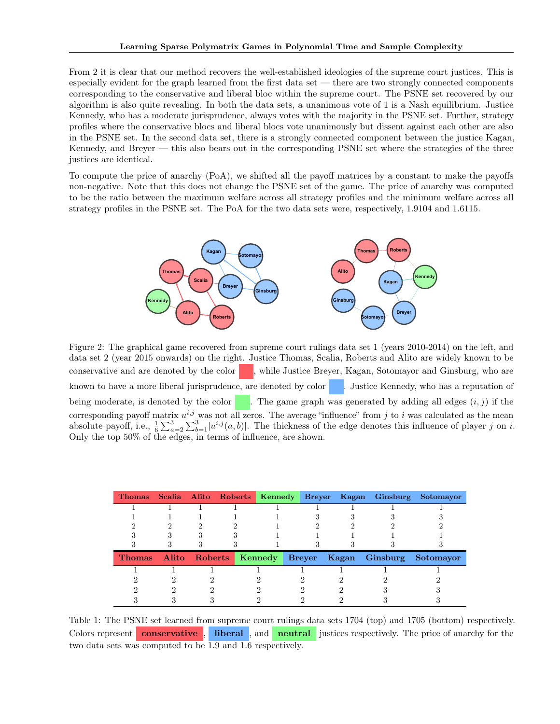From [2](#page-6-0) it is clear that our method recovers the well-established ideologies of the supreme court justices. This is especially evident for the graph learned from the first data set — there are two strongly connected components corresponding to the conservative and liberal bloc within the supreme court. The PSNE set recovered by our algorithm is also quite revealing. In both the data sets, a unanimous vote of 1 is a Nash equilibrium. Justice Kennedy, who has a moderate jurisprudence, always votes with the majority in the PSNE set. Further, strategy profiles where the conservative blocs and liberal blocs vote unanimously but dissent against each other are also in the PSNE set. In the second data set, there is a strongly connected component between the justice Kagan, Kennedy, and Breyer — this also bears out in the corresponding PSNE set where the strategies of the three justices are identical.

To compute the price of anarchy (PoA), we shifted all the payoff matrices by a constant to make the payoffs non-negative. Note that this does not change the PSNE set of the game. The price of anarchy was computed to be the ratio between the maximum welfare across all strategy profiles and the minimum welfare across all strategy profiles in the PSNE set. The PoA for the two data sets were, respectively, 1.9104 and 1.6115.



<span id="page-6-0"></span>Figure 2: The graphical game recovered from supreme court rulings data set 1 (years 2010-2014) on the left, and data set 2 (year 2015 onwards) on the right. Justice Thomas, Scalia, Roberts and Alito are widely known to be conservative and are denoted by the color  $\blacksquare$ , while Justice Breyer, Kagan, Sotomayor and Ginsburg, who are known to have a more liberal jurisprudence, are denoted by color | | Justice Kennedy, who has a reputation of being moderate, is denoted by the color  $\blacksquare$ . The game graph was generated by adding all edges  $(i, j)$  if the corresponding payoff matrix  $u^{i,j}$  was not all zeros. The average "influence" from  $j$  to  $i$  was calculated as the mean absolute payoff, i.e.,  $\frac{1}{6} \sum_{a=2}^{3} \sum_{b=1}^{3} |u^{i,j}(a, b)|$ . The thickness of the edge denotes this influence of player *j* on *i*. Only the top 50% of the edges, in terms of influence, are shown.

|  |  |  |  | Thomas Scalia Alito Roberts Kennedy Breyer Kagan Ginsburg Sotomayor |  |
|--|--|--|--|---------------------------------------------------------------------|--|
|  |  |  |  |                                                                     |  |
|  |  |  |  |                                                                     |  |
|  |  |  |  |                                                                     |  |
|  |  |  |  |                                                                     |  |
|  |  |  |  |                                                                     |  |
|  |  |  |  | Thomas Alito Roberts Kennedy Breyer Kagan Ginsburg Sotomayor        |  |
|  |  |  |  |                                                                     |  |
|  |  |  |  |                                                                     |  |
|  |  |  |  |                                                                     |  |
|  |  |  |  |                                                                     |  |

<span id="page-6-1"></span>Table 1: The PSNE set learned from supreme court rulings data sets 1704 (top) and 1705 (bottom) respectively. Colors represent **conservative**, liberal, and **neutral** justices respectively. The price of anarchy for the two data sets was computed to be 1.9 and 1.6 respectively.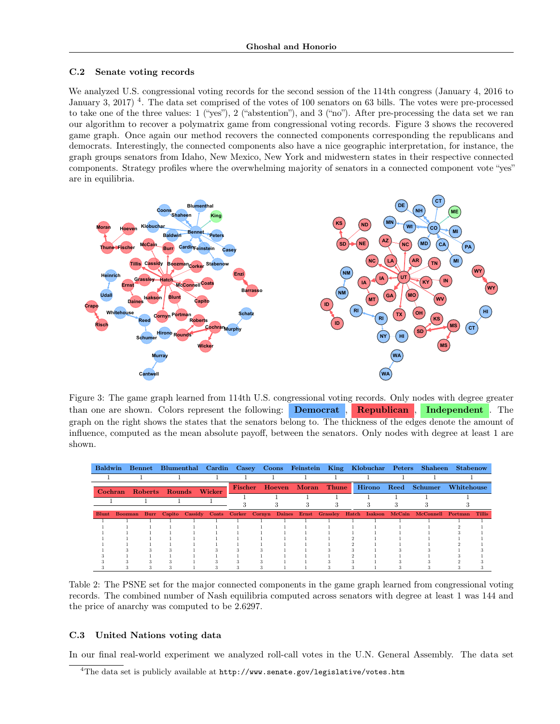### C.2 Senate voting records

We analyzed U.S. congressional voting records for the second session of the 114th congress (January 4, 2016 to January 3, 2017)<sup>[4](#page-7-0)</sup>. The data set comprised of the votes of 100 senators on 63 bills. The votes were pre-processed to take one of the three values: 1 ("yes"), 2 ("abstention"), and 3 ("no"). After pre-processing the data set we ran our algorithm to recover a polymatrix game from congressional voting records. Figure [3](#page-7-1) shows the recovered game graph. Once again our method recovers the connected components corresponding the republicans and democrats. Interestingly, the connected components also have a nice geographic interpretation, for instance, the graph groups senators from Idaho, New Mexico, New York and midwestern states in their respective connected components. Strategy profiles where the overwhelming majority of senators in a connected component vote "yes" are in equilibria.



<span id="page-7-1"></span>Figure 3: The game graph learned from 114th U.S. congressional voting records. Only nodes with degree greater than one are shown. Colors represent the following: **Democrat**, **Republican**, **Independent**. The graph on the right shows the states that the senators belong to. The thickness of the edges denote the amount of influence, computed as the mean absolute payoff, between the senators. Only nodes with degree at least 1 are shown.

|  |                               |  | Baldwin Bennet Blumenthal Cardin Casey Coons Feinstein King Klobuchar Peters Shaheen Stabenow |  |  |  |                            |  |                                                                                                                           |  |  |  |
|--|-------------------------------|--|-----------------------------------------------------------------------------------------------|--|--|--|----------------------------|--|---------------------------------------------------------------------------------------------------------------------------|--|--|--|
|  |                               |  |                                                                                               |  |  |  |                            |  |                                                                                                                           |  |  |  |
|  | Cochran Roberts Rounds Wicker |  |                                                                                               |  |  |  | Fischer Hoeven Moran Thune |  | Hirono Reed Schumer Whitehouse                                                                                            |  |  |  |
|  |                               |  |                                                                                               |  |  |  |                            |  |                                                                                                                           |  |  |  |
|  |                               |  |                                                                                               |  |  |  |                            |  |                                                                                                                           |  |  |  |
|  |                               |  |                                                                                               |  |  |  |                            |  | Blunt Boozman Burr Capito Cassidy Coats Corker Cornyn Daines Ernst Grassley Hatch Isakson McCain McConnell Portman Tillis |  |  |  |
|  |                               |  |                                                                                               |  |  |  |                            |  |                                                                                                                           |  |  |  |
|  |                               |  |                                                                                               |  |  |  |                            |  |                                                                                                                           |  |  |  |
|  |                               |  |                                                                                               |  |  |  |                            |  |                                                                                                                           |  |  |  |
|  |                               |  |                                                                                               |  |  |  |                            |  |                                                                                                                           |  |  |  |
|  |                               |  |                                                                                               |  |  |  |                            |  |                                                                                                                           |  |  |  |
|  |                               |  |                                                                                               |  |  |  |                            |  |                                                                                                                           |  |  |  |
|  |                               |  |                                                                                               |  |  |  |                            |  |                                                                                                                           |  |  |  |
|  |                               |  |                                                                                               |  |  |  |                            |  |                                                                                                                           |  |  |  |
|  |                               |  |                                                                                               |  |  |  |                            |  |                                                                                                                           |  |  |  |

Table 2: The PSNE set for the major connected components in the game graph learned from congressional voting records. The combined number of Nash equilibria computed across senators with degree at least 1 was 144 and the price of anarchy was computed to be 2.6297.

## C.3 United Nations voting data

In our final real-world experiment we analyzed roll-call votes in the U.N. General Assembly. The data set

<span id="page-7-0"></span><sup>&</sup>lt;sup>4</sup>The data set is publicly available at  $http://www.senate.gov/legislative/votes.htm$